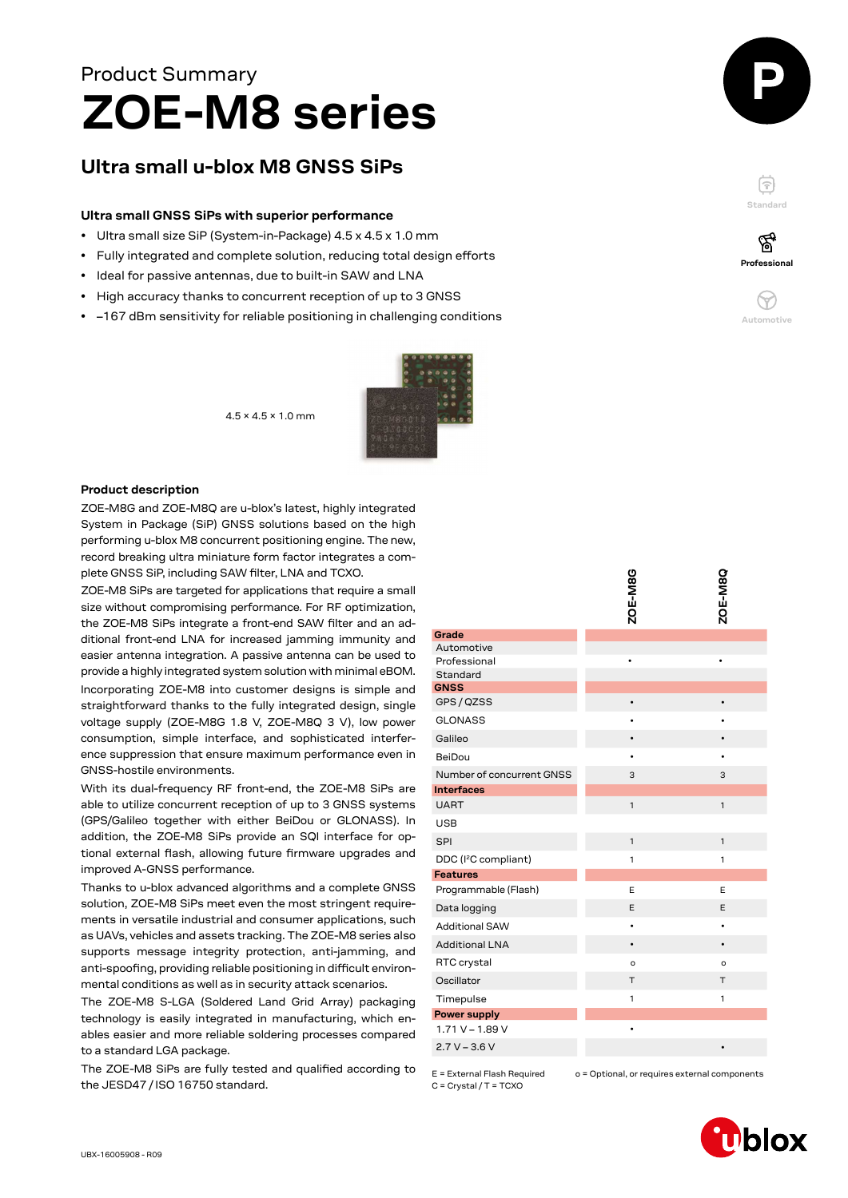# **ZOE-M8 series** Product Summary

# **Ultra small u-blox M8 GNSS SiPs**

## **Ultra small GNSS SiPs with superior performance**

- Ultra small size SiP (System-in-Package) 4.5 x 4.5 x 1.0 mm
- Fully integrated and complete solution, reducing total design efforts
- Ideal for passive antennas, due to built-in SAW and LNA
- High accuracy thanks to concurrent reception of up to 3 GNSS
- –167 dBm sensitivity for reliable positioning in challenging conditions



 $4.5 \times 4.5 \times 1.0$  mm

### **Product description**

ZOE-M8G and ZOE-M8Q are u-blox's latest, highly integrated System in Package (SiP) GNSS solutions based on the high performing u-blox M8 concurrent positioning engine. The new, record breaking ultra miniature form factor integrates a complete GNSS SiP, including SAW filter, LNA and TCXO.

ZOE-M8 SiPs are targeted for applications that require a small size without compromising performance. For RF optimization, the ZOE-M8 SiPs integrate a front-end SAW filter and an additional front-end LNA for increased jamming immunity and easier antenna integration. A passive antenna can be used to provide a highly integrated system solution with minimal eBOM. Incorporating ZOE-M8 into customer designs is simple and straightforward thanks to the fully integrated design, single voltage supply (ZOE-M8G 1.8 V, ZOE-M8Q 3 V), low power consumption, simple interface, and sophisticated interference suppression that ensure maximum performance even in GNSS-hostile environments.

With its dual-frequency RF front-end, the ZOE-M8 SiPs are able to utilize concurrent reception of up to 3 GNSS systems (GPS/Galileo together with either BeiDou or GLONASS). In addition, the ZOE-M8 SiPs provide an SQI interface for optional external flash, allowing future firmware upgrades and improved A-GNSS performance.

Thanks to u-blox advanced algorithms and a complete GNSS solution, ZOE-M8 SiPs meet even the most stringent requirements in versatile industrial and consumer applications, such as UAVs, vehicles and assets tracking. The ZOE-M8 series also supports message integrity protection, anti-jamming, and anti-spoofing, providing reliable positioning in difficult environmental conditions as well as in security attack scenarios.

The ZOE-M8 S-LGA (Soldered Land Grid Array) packaging technology is easily integrated in manufacturing, which enables easier and more reliable soldering processes compared to a standard LGA package.

The ZOE-M8 SiPs are fully tested and qualified according to the JESD47 / ISO 16750 standard.

UBX-16005908 - R09

|                                  | ZOE-M8G      | ZOE-M8Q      |
|----------------------------------|--------------|--------------|
| Grade                            |              |              |
| Automotive                       |              |              |
| Professional                     |              |              |
| Standard                         |              |              |
| <b>GNSS</b>                      |              |              |
| GPS / QZSS                       |              |              |
| <b>GLONASS</b>                   |              |              |
| Galileo                          | $\bullet$    | $\bullet$    |
| BeiDou                           |              | $\bullet$    |
| Number of concurrent GNSS        | 3            | 3            |
| <b>Interfaces</b>                |              |              |
| <b>UART</b>                      | $\mathbf{1}$ | $\mathbf{1}$ |
| <b>USB</b>                       |              |              |
| SPI                              | 1            | 1            |
| DDC (I <sup>2</sup> C compliant) | 1            | $\mathbf{1}$ |
| <b>Features</b>                  |              |              |
| Programmable (Flash)             | E            | E            |
| Data logging                     | E            | E            |
| <b>Additional SAW</b>            | $\bullet$    | $\bullet$    |
| <b>Additional LNA</b>            |              | $\bullet$    |
| RTC crystal                      | $\circ$      | $\circ$      |
| Oscillator                       | Τ            | T            |
| Timepulse                        | 1            | 1            |
| <b>Power supply</b>              |              |              |
| $1.71V - 1.89V$                  | $\bullet$    |              |
| $2.7 V - 3.6 V$                  |              |              |

C = Crystal / T = TCXO

E = External Flash Required o = Optional, or requires external components









ଙ୍କ

**Automotive**